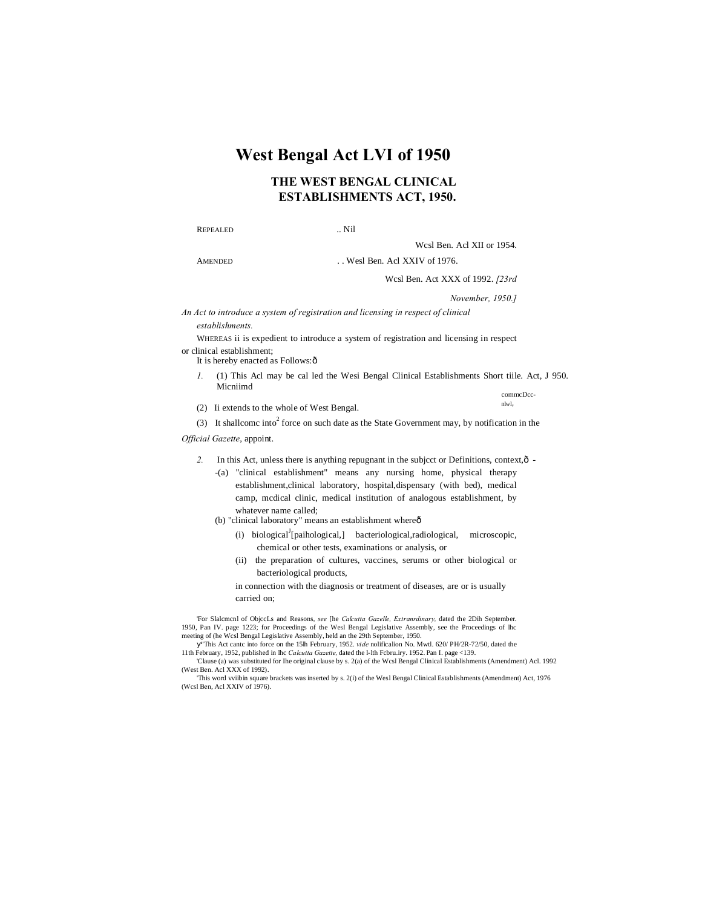# **West Bengal Act LVI of 1950**

## **THE WEST BENGAL CLINICAL ESTABLISHMENTS ACT, 1950.**

#### REPEALED ... Nil

Wcsl Ben. Acl XII or 1954.

AMENDED ... Wesl Ben. Acl XXIV of 1976.

Wcsl Ben. Act XXX of 1992. *[23rd* 

*November, 1950.]*

*An Act to introduce a system of registration and licensing in respect of clinical* 

*establishments.*

WHEREAS ii is expedient to introduce a system of registration and licensing in respect or clinical establishment;

It is hereby enacted as Follows: ô

- *1.* (1) This Acl may be cal led the Wesi Bengal Clinical Establishments Short tiile. Act, J 950. Micniimd commcDcc-
- (2) Ii extends to the whole of West Bengal.  $n(w)$
- (3) It shallcome into<sup>2</sup> force on such date as the State Government may, by notification in the

*Official Gazette*, appoint.

- 2. In this Act, unless there is anything repugnant in the subject or Definitions, context,  $\hat{o}$  -
	- -(a) "clinical establishment" means any nursing home, physical therapy establishment,clinical laboratory, hospital,dispensary (with bed), medical camp, mcdical clinic, medical institution of analogous establishment, by whatever name called;
	- (b) "clinical laboratory" means an establishment whereô
		- (i) biological<sup>J</sup>[paihological,] bacteriological,radiological, microscopic, chemical or other tests, examinations or analysis, or
		- (ii) the preparation of cultures, vaccines, serums or other biological or bacteriological products,

in connection with the diagnosis or treatment of diseases, are or is usually carried on;

'For Slalcmcnl of ObjccLs and Reasons, see [he Calcutta Gazelle, Extranrdinary, dated the 2Dih September.<br>1950, Pan IV. page 1223; for Proceedings of the Wesl Bengal Legislative Assembly, see the Proceedings of lhc meeting of (he Wcsl Bengal Legislative Assembly, held an the 29th September, 1950.

"This Act cantc into force on the 15lh February, 1952. *vide* nolificalion No. Mwtl. 620/ PH/2R-72/50, dated the 11th February, 1952, published in lhc *Calcutta Gazette,* dated the l-lth Fcbru.iry. 1952. Pan I. page <139.

'Clause (a) was substituted for Ihe original clause by s. 2(a) of the Wcsl Bengal Clinical Establishments (Amendment) Acl. 1992 (West Ben. Acl XXX of 1992).

'This word vviibin square brackets was inserted by s. 2(i) of the Wesl Bengal Clinical Establishments (Amendment) Act, 1976 (Wcsl Ben, Acl XXIV of 1976).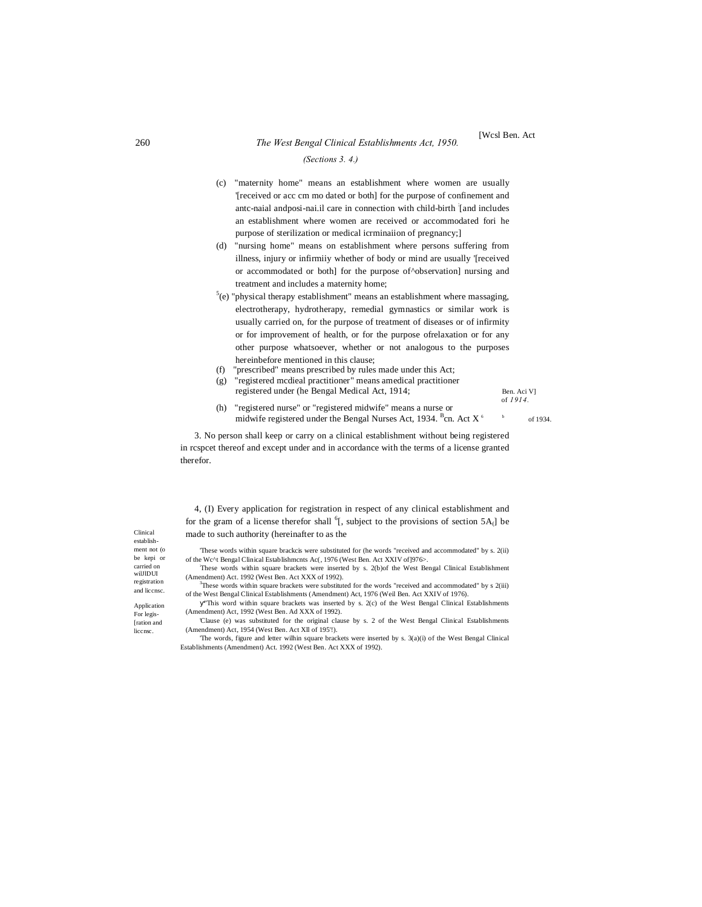#### *(Sections 3. 4.)*

- (c) "maternity home" means an establishment where women are usually '[received or acc cm mo dated or both] for the purpose of confinement and antc-naial andposi-nai.il care in connection with child-birth : [and includes an establishment where women are received or accommodated fori he purpose of sterilization or medical icrminaiion of pregnancy;]
- (d) "nursing home" means on establishment where persons suffering from illness, injury or infirmiiy whether of body or mind are usually '[received or accommodated or both] for the purpose of^observation] nursing and treatment and includes a maternity home;
- $5(e)$  "physical therapy establishment" means an establishment where massaging, electrotherapy, hydrotherapy, remedial gymnastics or similar work is usually carried on, for the purpose of treatment of diseases or of infirmity or for improvement of health, or for the purpose ofrelaxation or for any other purpose whatsoever, whether or not analogous to the purposes hereinbefore mentioned in this clause;
- (f) "prescribed" means prescribed by rules made under this Act;
- (g) "registered mcdieal practitioner" means amedical practitioner registered under (he Bengal Medical Act, 1914; Ben. Aci V]

of *1914.*

[Wcsl Ben. Act

(h) "registered nurse" or "registered midwife" means a nurse or midwife registered under the Bengal Nurses Act, 1934.  $B_{\text{cn}}$  Act  $X^6$  b of 1934.

3. No person shall keep or carry on a clinical establishment without being registered in rcspcet thereof and except under and in accordance with the terms of a license granted therefor.

4, (I) Every application for registration in respect of any clinical establishment and for the gram of a license therefor shall  ${}^6$ [, subject to the provisions of section 5A<sub>(</sub>] be made to such authority (hereinafter to as the

'These words within square brackcis were substituted for (he words "received and accommodated" by s. 2(ii) of the Wc^t Bengal Clinical Establishmcnts Ac(, 1976 (West Ben. Act XXIV of]976>.

: These words within square brackets were inserted by s. 2(b)of the West Bengal Clinical Establishment (Amendment) Act. 1992 (West Ben. Act XXX of 1992).

<sup>3</sup>These words within square brackets were substituted for the words "received and accommodated" by s 2(iii) of the West Bengal Clinical Establishments (Amendment) Act, 1976 (Weil Ben. Act XXIV of 1976).

"This word within square brackets was inserted by s. 2(c) of the West Bengal Clinical Establishments (Amendment) Act, 1992 (West Ben. Ad XXX of 1992).

'Clause (e) was substituted for the original clause by s. 2 of the West Bengal Clinical Establishments (Amendment) Act, 1954 (West Ben. Act Xll of 195'!).

'The words, figure and letter wilhin square brackets were inserted by s. 3(a)(i) of the West Bengal Clinical Establishments (Amendment) Act. 1992 (West Ben. Act XXX of 1992).

Clinical establishment not (o be kepi or carried on willDUI registration and liccnsc.

Application For legis- [ration and liccnsc.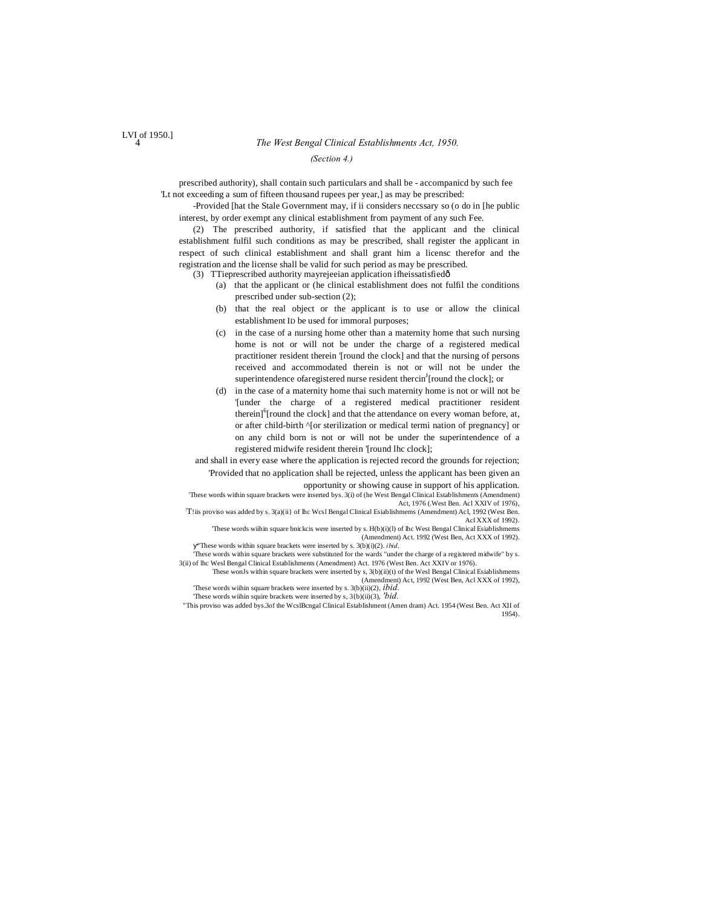*(Section 4.)*

prescribed authority), shall contain such particulars and shall be - accompanicd by such fee 'Lt not exceeding a sum of fifteen thousand rupees per year,] as may be prescribed:

-Provided [hat the Stale Government may, if ii considers neccssary so (o do in [he public interest, by order exempt any clinical establishment from payment of any such Fee.

(2) The prescribed authority, if satisfied that the applicant and the clinical establishment fulfil such conditions as may be prescribed, shall register the applicant in respect of such clinical establishment and shall grant him a licensc therefor and the registration and the license shall be valid for such period as may be prescribed.

(3) TTieprescribed authority mayrejeeian application ifheissatisfiedô

- (a) that the applicant or (he clinical establishment does not fulfil the conditions prescribed under sub-section (2);
- (b) that the real object or the applicant is to use or allow the clinical establishment ID be used for immoral purposes;
- (c) in the case of a nursing home other than a maternity home that such nursing home is not or will not be under the charge of a registered medical practitioner resident therein '[round the clock] and that the nursing of persons received and accommodated therein is not or will not be under the superintendence of a registered nurse resident therein  $\int$  [round the clock]; or
- (d) in the case of a maternity home thai such maternity home is not or will not be '[under the charge of a registered medical practitioner resident therein]<sup>6</sup>[round the clock] and that the attendance on every woman before, at, or after child-birth ^[or sterilization or medical termi nation of pregnancy] or on any child born is not or will not be under the superintendence of a registered midwife resident therein '[round lhc clock];

and shall in every ease where the application is rejected record the grounds for rejection; 'Provided that no application shall be rejected, unless the applicant has been given an opportunity or showing cause in support of his application.

'These words within square brackets were inserted bys. 3(i) of (he West Bengal Clinical Establishments (Amendment)

Act, 1976 (.West Ben. Acl XXIV of 1976),<br>T!iis proviso was added by s. 3(a)(ii} of lhc Wcsl Bengal Clinical Esiablishmems (Amendment) Acl, 1992 (West Ben. Acl XXX of 1992).

'These words wiihin square bnickcis were inserted by s. H(b)(i)(l) of lhc West Bengal Clinical Esiablishmems (Amendment) Act. 1992 (West Ben, Act XXX of 1992). "These words within square brackets were inserted by s. 3(b)(i)(2). *ibid,*

'These words within square brackets were substituted for the wards "under the charge of a registered midwife" by s. 3(ii) of lhc Wesl Bengal Clinical Establishments (Amendment) Act. 1976 (West Ben. Act XXIV or 1976).

These wonJs within square brackets were inserted by s, 3(b)(ii)(t) of the Wesl Bengal Clinical Esiablishmems (Amendment) Act, 1992 (West Ben, Acl XXX of 1992),

'These words wiihin square brackets were inserted by s. 3(b)(ii)(2), *ibid.* 'These words wiihin squire brackets were inserted by s, 3{b)(ii)(3), *'bid.*

"This proviso was added bys.3of the WcslBcngal Clinical Establishment (Amen dram) Act. 1954 (West Ben. Act XII of 1954).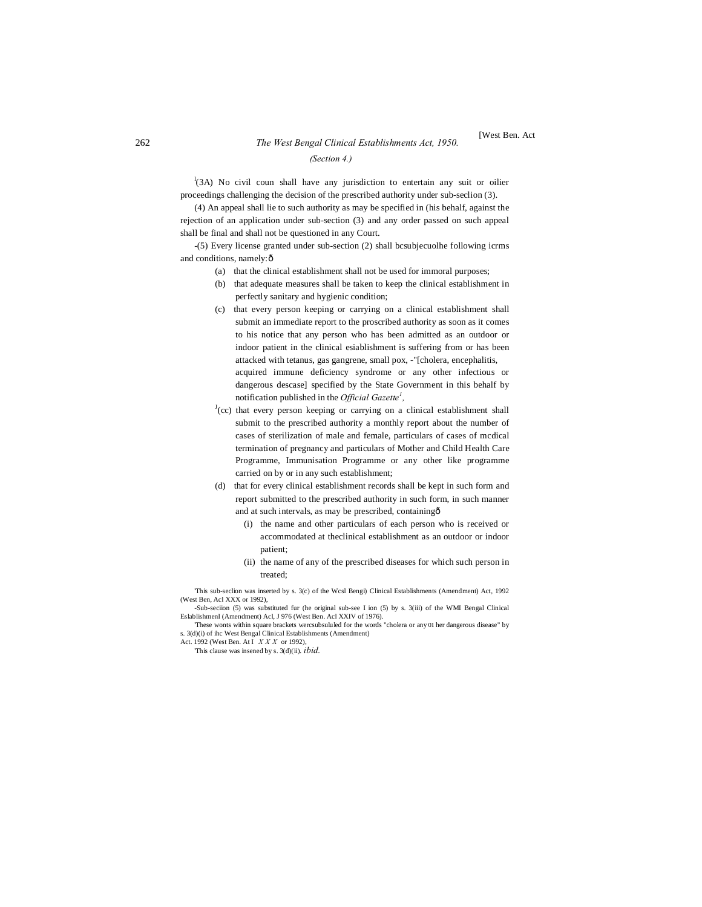## <sup>262</sup> *The West Bengal Clinical Establishments Act, 1950.* [West Ben. Act *(Section 4.)*

<sup>1</sup>(3A) No civil coun shall have any jurisdiction to entertain any suit or oilier proceedings challenging the decision of the prescribed authority under sub-seclion (3).

(4) An appeal shall lie to such authority as may be specified in (his behalf, against the rejection of an application under sub-section (3) and any order passed on such appeal shall be final and shall not be questioned in any Court.

-(5) Every license granted under sub-section (2) shall bcsubjecuolhe following icrms and conditions, namely: ô

- (a) that the clinical establishment shall not be used for immoral purposes;
- (b) that adequate measures shall be taken to keep the clinical establishment in perfectly sanitary and hygienic condition;
- (c) that every person keeping or carrying on a clinical establishment shall submit an immediate report to the proscribed authority as soon as it comes to his notice that any person who has been admitted as an outdoor or indoor patient in the clinical esiablishment is suffering from or has been attacked with tetanus, gas gangrene, small pox, -"[cholera, encephalitis, acquired immune deficiency syndrome or any other infectious or dangerous descase] specified by the State Government in this behalf by notification published in the *Official Gazette<sup>1</sup> ,*
- $J$ (cc) that every person keeping or carrying on a clinical establishment shall submit to the prescribed authority a monthly report about the number of cases of sterilization of male and female, particulars of cases of mcdical termination of pregnancy and particulars of Mother and Child Health Care Programme, Immunisation Programme or any other like programme carried on by or in any such establishment;
- (d) that for every clinical establishment records shall be kept in such form and report submitted to the prescribed authority in such form, in such manner and at such intervals, as may be prescribed, containing—
	- (i) the name and other particulars of each person who is received or accommodated at theclinical establishment as an outdoor or indoor patient;
	- (ii) the name of any of the prescribed diseases for which such person in treated;

'This sub-seclion was inserted by s. 3(c) of the Wcsl Bengi) Clinical Establishments (Amendment) Act, 1992 (West Ben, Acl XXX or 1992),

-Sub-seciion (5) was substituted fur (he original sub-see I ion (5) by s. 3(iii) of the WMI Bengal Clinical EslablishmenI (Amendment) Acl, J 976 (West Ben. Acl XXIV of 1976).

'These wonts within square brackets wercsubsululed for the words "cholera or any 01 her dangerous disease" by s. 3(d)(i) of ihc West Bengal Clinical Establishments (Amendment) Act. 1992 (West Ben. At I *X X X* or 1992),

'This clause was insened by s. 3(d)(ii). *ibid.*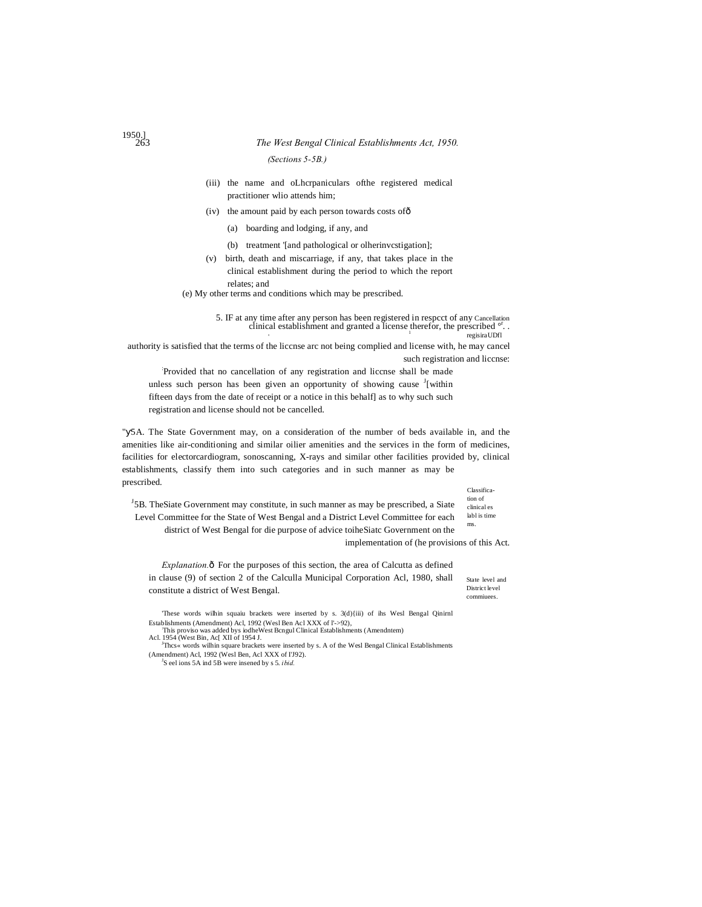#### 263 *The West Bengal Clinical Establishments Act, 1950.*

#### *(Sections 5-5B.)*

- (iii) the name and oLhcrpaniculars ofthe registered medical practitioner wlio attends him;
- (iv) the amount paid by each person towards costs of—
	- (a) boarding and lodging, if any, and
	- (b) treatment '[and pathological or olherinvcstigation];
- (v) birth, death and miscarriage, if any, that takes place in the clinical establishment during the period to which the report relates; and

(e) My other terms and conditions which may be prescribed.

5. IF at any time after any person has been registered in respcct of any Cancellation clinical establishment and granted a license therefor, the prescribed <sup>or</sup>.<br>
<sup>1</sup> regisiraUDfl

authority is satisfied that the terms of the liccnse arc not being complied and license with, he may cancel such registration and liccnse:

: Provided that no cancellation of any registration and liccnse shall be made unless such person has been given an opportunity of showing cause  $\frac{1}{2}$  [within fifteen days from the date of receipt or a notice in this behalf] as to why such such registration and license should not be cancelled.

Classifica-" 5A. The State Government may, on a consideration of the number of beds available in, and the amenities like air-conditioning and similar oilier amenities and the services in the form of medicines, facilities for electorcardiogram, sonoscanning, X-rays and similar other facilities provided by, clinical establishments, classify them into such categories and in such manner as may be prescribed.

<sup>J</sup>5B. TheSiate Government may constitute, in such manner as may be prescribed, a Siate Level Committee for the State of West Bengal and a District Level Committee for each district of West Bengal for die purpose of advice toiheSiatc Government on the

implementation of (he provisions of this Act.

*Explanation.* $\delta$  For the purposes of this section, the area of Calcutta as defined in clause (9) of section 2 of the Calculla Municipal Corporation Acl, 1980, shall constitute a district of West Bengal.

State level and District level commiuees.

tion of clinical es labl is time ms.

'These words wilhin squaiu brackets were inserted by s. 3(d){iii) of ihs Wesl Bengal Qinirnl Establishments (Amendment) Acl, 1992 (Wesl Ben Acl XXX of l'->92),

This proviso was added bys iodheWest Bcngul Clinical Establishments (Amendntem) Acl. 1954 (West Bin, Ac[ XII of 1954 J.

<sup>J</sup>Thcs« words wilhin square brackets were inserted by s. A of the Wesl Bengal Clinical Establishments (Amendment) Acl, 1992 (Wesl Ben, Acl XXX of I'J92). <sup>J</sup> S eel ions 5A ind 5B were insened by s 5. *ibid.*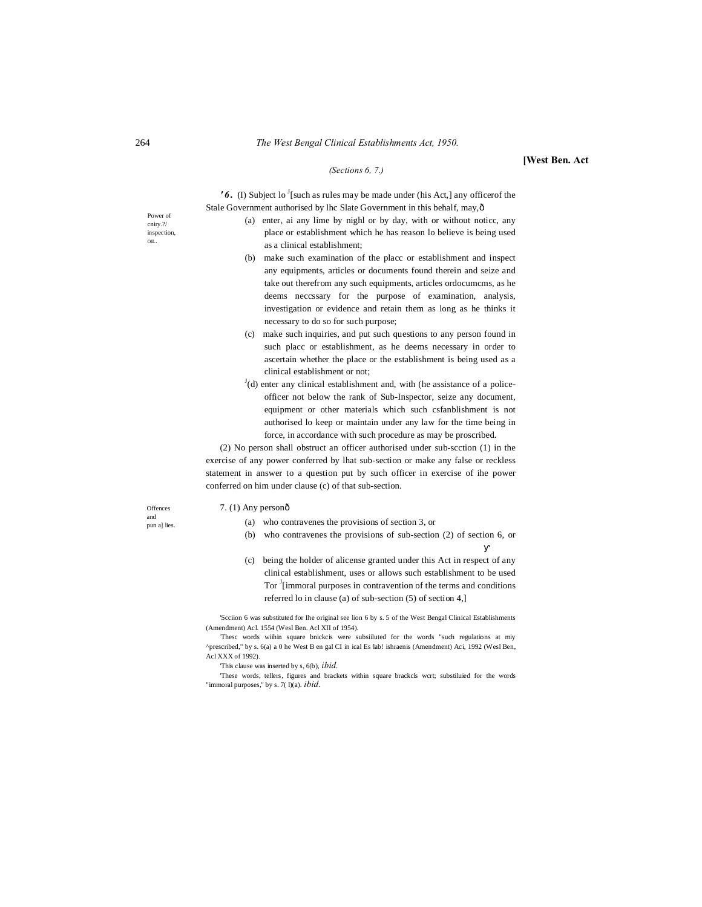#### 264 *The West Bengal Clinical Establishments Act, 1950.*

**[West Ben. Act**

#### *(Sections 6, 7.)*

 $'6.$  (I) Subject lo <sup>J</sup>[such as rules may be made under (his Act,] any officerof the Stale Government authorised by lhc Slate Government in this behalf, may, ô

- (a) enter, ai any lime by nighl or by day, with or without noticc, any place or establishment which he has reason lo believe is being used as a clinical establishment;
- (b) make such examination of the placc or establishment and inspect any equipments, articles or documents found therein and seize and take out therefrom any such equipments, articles ordocumcms, as he deems neccssary for the purpose of examination, analysis, investigation or evidence and retain them as long as he thinks it necessary to do so for such purpose;
- (c) make such inquiries, and put such questions to any person found in such placc or establishment, as he deems necessary in order to ascertain whether the place or the establishment is being used as a clinical establishment or not;
- $J$ (d) enter any clinical establishment and, with (he assistance of a policeofficer not below the rank of Sub-Inspector, seize any document, equipment or other materials which such csfanblishment is not authorised lo keep or maintain under any law for the time being in force, in accordance with such procedure as may be proscribed.

(2) No person shall obstruct an officer authorised under sub-scction (1) in the exercise of any power conferred by lhat sub-section or make any false or reckless statement in answer to a question put by such officer in exercise of ihe power conferred on him under clause (c) of that sub-section.

#### $7. (1)$  Any personô

- (a) who contravenes the provisions of section 3, or
- (b) who contravenes the provisions of sub-section (2) of section 6, or
- (c) being the holder of alicense granted under this Act in respect of any clinical establishment, uses or allows such establishment to be used Tor <sup>J</sup>[immoral purposes in contravention of the terms and conditions referred lo in clause (a) of sub-section (5) of section 4,]

'Scciion 6 was substituted for Ihe original see lion 6 by s. 5 of the West Bengal Clinical Establishments (Amendment) Acl. 1554 (Wesl Ben. Acl XII of 1954).

Thesc words wiihin square bnickcis were subsiiluted for the words "such regulations at miy ^prescribed," by s. 6(a) a 0 he West B en gal CI in ical Es lab! ishraenis (Amendment) Aci, 1992 (Wesl Ben, Acl XXX of 1992).

'This clause was inserted by s, 6(b), *ibid.*

'These words, tellers, figures and brackets within square brackcls wcrt; substiluied for the words "immoral purposes," by s. 7( I)(a). *ibid.* 

Power of cniry.?/ inspection, OIL.

**Offences** and pun a] lies.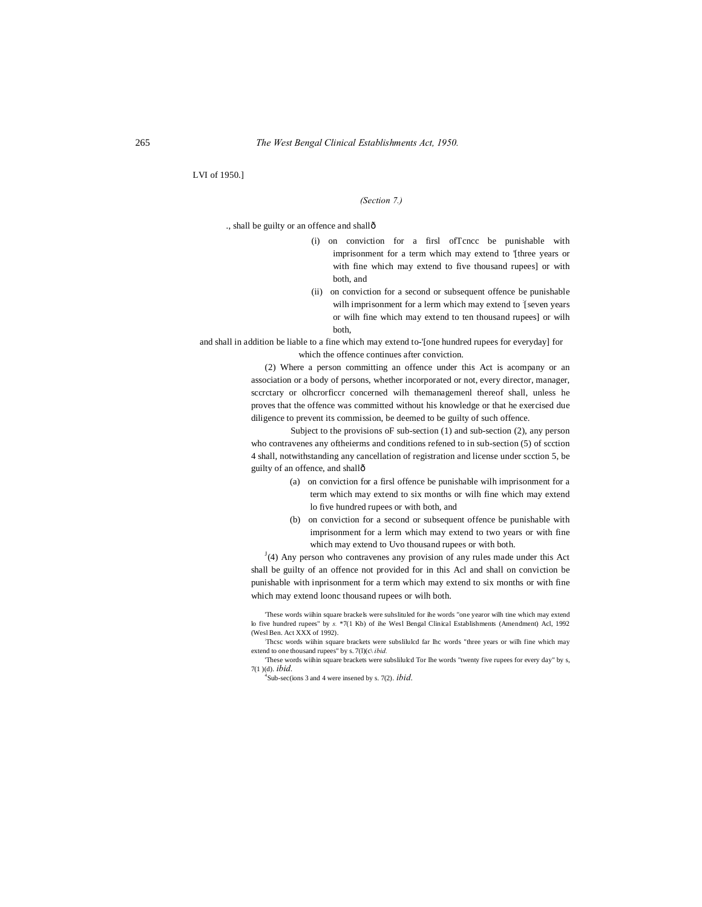LVI of 1950.]

*(Section 7.)*

., shall be guilty or an offence and shallô

- (i) on conviction for a firsl ofTcncc be punishable with imprisonment for a term which may extend to '[three years or with fine which may extend to five thousand rupees] or with both, and
- (ii) on conviction for a second or subsequent offence be punishable wilh imprisonment for a lerm which may extend to [seven years or wilh fine which may extend to ten thousand rupees] or wilh both,

and shall in addition be liable to a fine which may extend to-'[one hundred rupees for everyday] for which the offence continues after conviction.

> (2) Where a person committing an offence under this Act is acompany or an association or a body of persons, whether incorporated or not, every director, manager, sccrctary or olhcrorficcr concerned wilh themanagemenl thereof shall, unless he proves that the offence was committed without his knowledge or that he exercised due diligence to prevent its commission, be deemed to be guilty of such offence.

> Subject to the provisions oF sub-section (1) and sub-section (2), any person who contravenes any oftheierms and conditions refened to in sub-section (5) of scction 4 shall, notwithstanding any cancellation of registration and license under scction 5, be guilty of an offence, and shall—

- (a) on conviction for a firsl offence be punishable wilh imprisonment for a term which may extend to six months or wilh fine which may extend lo five hundred rupees or with both, and
- (b) on conviction for a second or subsequent offence be punishable with imprisonment for a lerm which may extend to two years or with fine which may extend to Uvo thousand rupees or with both.

 $J<sup>J</sup>(4)$  Any person who contravenes any provision of any rules made under this Act shall be guilty of an offence not provided for in this Acl and shall on conviction be punishable with inprisonment for a term which may extend to six months or with fine which may extend loonc thousand rupees or wilh both.

'These words wiihin square brackels were suhslituled for ihe words "one yearor wilh tine which may extend lo five hundred rupees" by *s.* \*7(1 Kb) of ihe Wesl Bengal Clinical Establishments (Amendment) Acl, 1992 (Wesl Ben. Act XXX of 1992).

: Thcsc words wiihin square brackets were subslilulcd far lhc words "three years or wilh fine which may extend to one thousand rupees" by s. 7(l)(c\ *ibid.*

'These words wiihin square brackets were subslilulcd Tor Ihe words "twenty five rupees for every day" by s, 7(1 )(d). *ibid.*

4 Sub-sec(ions 3 and 4 were insened by s. 7(2). *ibid.*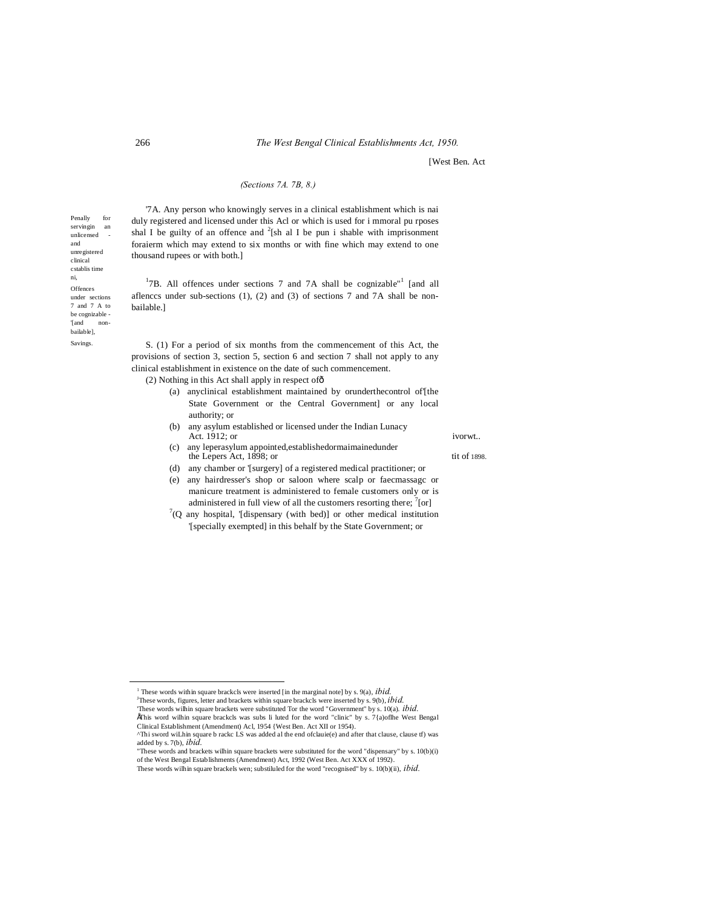[West Ben. Act

### *(Sections 7A. 7B, 8.)*

'7A. Any person who knowingly serves in a clinical establishment which is nai duly registered and licensed under this Acl or which is used for i mmoral pu rposes shal I be guilty of an offence and  $2$ [sh al I be pun i shable with imprisonment foraierm which may extend to six months or with fine which may extend to one thousand rupees or with both.]

<sup>1</sup>7B. All offences under sections 7 and 7A shall be cognizable<sup> $n<sup>1</sup>$ </sup> [and all aflences under sub-sections  $(1)$ ,  $(2)$  and  $(3)$  of sections 7 and 7A shall be nonbailable.]

S. (1) For a period of six months from the commencement of this Act, the provisions of section 3, section 5, section 6 and section 7 shall not apply to any clinical establishment in existence on the date of such commencement.

(2) Nothing in this Act shall apply in respect of—

- (a) anyclinical establishment maintained by orunderthecontrol of'[the State Government or the Central Government] or any local authority; or
- (b) any asylum established or licensed under the Indian Lunacy Act. 1912; or ivorwt...
- (c) any leperasylum appointed,establishedormaimainedunder the Lepers Act, 1898; or tit of 1898.
- (d) any chamber or '[surgery] of a registered medical practitioner; or
- (e) any hairdresser's shop or saloon where scalp or faecmassagc or manicure treatment is administered to female customers only or is administered in full view of all the customers resorting there;  $\left[7\text{[or]}\right]$
- $7(Q)$  any hospital, '[dispensary (with bed)] or other medical institution '[specially exempted] in this behalf by the State Government; or

'These words wilhin square brackets were substituted Tor the word "Government" by s. 10(a). *ibid.* •This word wilhin square brackcls was subs li luted for the word "clinic" by s. 7{a)oflhe West Bengal

Penally for servingin an unlicensed and unregistered clinical cstablis time ni, **Offences** under sections 7 and 7 A to be cognizable - '[and nonbailable], Savings.

<sup>&</sup>lt;sup>1</sup> These words within square brackcls were inserted [in the marginal note] by s. 9(a),  $ibid$ . These words, figures, letter and brackets within square brackcls were inserted by s. 9(b), *ibid.*

Clinical Establishment (Amendment) Acl, 1954 {West Ben. Act XII or 1954).

<sup>^</sup>Thi sword wiLhin square b rackc LS was added al the end ofclauie(e) and after that clause, clause tf) was added by s. 7(b), *ibid.*

<sup>&</sup>quot;These words and brackets wilhin square brackets were substituted for the word "dispensary" by s. 10(b)(i) of the West Bengal Establishments (Amendment) Act, 1992 (West Ben. Act XXX of 1992).

These words wilhin square brackels wen; substiluled for the word "recognised" by s. 10(b)(ii), *ibid.*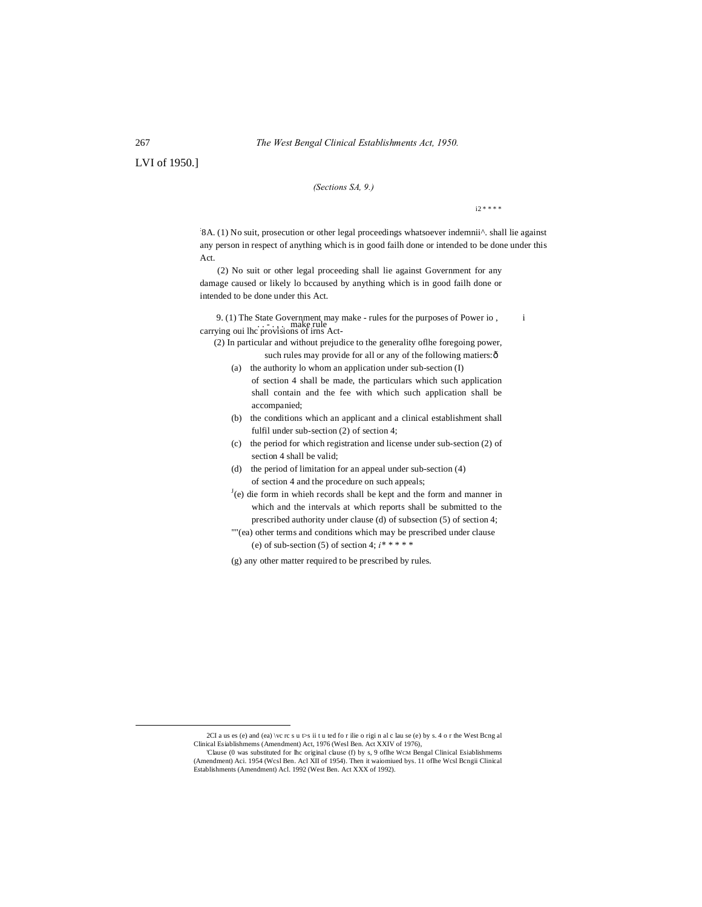LVI of 1950.]

### *(Sections SA, 9.)*

 $i2 * * * *$ 

8A. (1) No suit, prosecution or other legal proceedings whatsoever indemnii<sup>^</sup>. shall lie against any person in respect of anything which is in good failh done or intended to be done under this Act.

(2) No suit or other legal proceeding shall lie against Government for any damage caused or likely lo bccaused by anything which is in good failh done or intended to be done under this Act.

9. (1) The State Government may make - rules for the purposes of Power io , <sup>i</sup> . . - . , . make rule carrying oui lhc provisions of irns Act-

(2) In particular and without prejudice to the generality oflhe foregoing power, such rules may provide for all or any of the following matiers: ô

- (a) the authority lo whom an application under sub-section (I) of section 4 shall be made, the particulars which such application shall contain and the fee with which such application shall be accompanied;
- (b) the conditions which an applicant and a clinical establishment shall fulfil under sub-section (2) of section 4;
- (c) the period for which registration and license under sub-section (2) of section 4 shall be valid;
- (d) the period of limitation for an appeal under sub-section (4) of section 4 and the procedure on such appeals;
- $J(e)$  die form in whieh records shall be kept and the form and manner in which and the intervals at which reports shall be submitted to the prescribed authority under clause (d) of subsection (5) of section 4;
- ""(ea) other terms and conditions which may be prescribed under clause (e) of sub-section (5) of section 4;  $i^*$  \* \* \* \*

(g) any other matter required to be prescribed by rules.

 <sup>2</sup>CI a us es (e) and (ea) \vc rc s u t>s ii t u ted fo r ilie o rigi n al c lau se (e) by s. 4 o r the West Bcng al Clinical Esiablishmems (Amendment) Act, 1976 (Wesl Ben. Act XXIV of 1976),

<sup>&#</sup>x27;Clause (0 was substituted for lhc original clause (f) by s, 9 oflhe WCM Bengal Clinical Esiablishmems (Amendment) Aci. 1954 (Wcsl Ben. Acl XII of 1954). Then it waiomiued bys. 11 oflhe Wcsl Bcngii Clinical Establishments (Amendment) Acl. 1992 (West Ben. Act XXX of 1992).